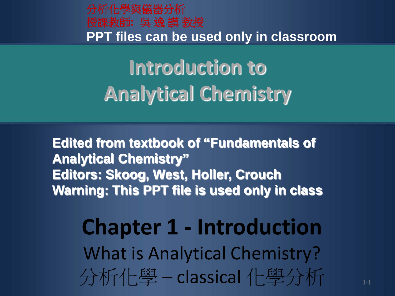分析化學與儀器分析 授課教師**:** 吳 逸 謨 教授 **PPT files can be used only in classroom**

**Introduction to Analytical Chemistry**

**Edited from textbook of "Fundamentals of Analytical Chemistry" Editors: Skoog, West, Holler, Crouch Warning: This PPT file is used only in class** 

■ 分析化學 – classical 化學分析 ■ 1-1 **Chapter 1 - Introduction** What is Analytical Chemistry?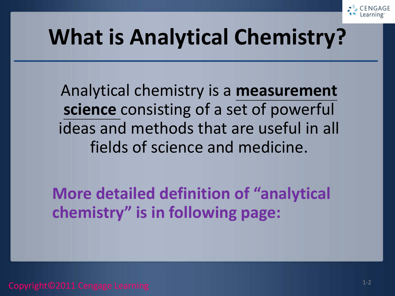

## **What is Analytical Chemistry?**

Analytical chemistry is a **measurement science** consisting of a set of powerful ideas and methods that are useful in all fields of science and medicine.

**More detailed definition of "analytical chemistry" is in following page:**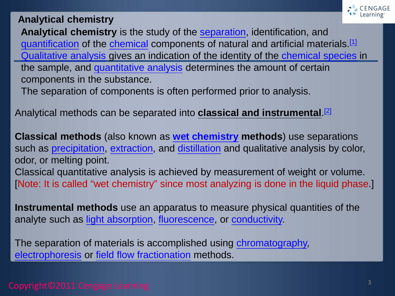

#### **Analytical chemistry**

**Analytical chemistry** is the study of the [separation](https://en.wikipedia.org/wiki/Separation_process), identification, and [quantification](https://en.wikipedia.org/wiki/Quantification_(science)) of the [chemical](https://en.wikipedia.org/wiki/Chemical) components of natural and artificial materials[.\[1\]](https://en.wikipedia.org/wiki/Analytical_chemistry#cite_note-isbn0-03-005938-0-1) [Qualitative analysis](https://en.wikipedia.org/wiki/Qualitative_inorganic_analysis) gives an indication of the identity of the [chemical species](https://en.wikipedia.org/wiki/Chemical_species) in the sample, and [quantitative analysis](https://en.wikipedia.org/wiki/Quantitative_analysis_(chemistry)) determines the amount of certain components in the substance.

The separation of components is often performed prior to analysis.

Analytical methods can be separated into **classical and instrumental**. [\[2\]](https://en.wikipedia.org/wiki/Analytical_chemistry#cite_note-isbn0-03-002078-6-2)

**Classical methods** (also known as **[wet chemistry](https://en.wikipedia.org/wiki/Wet_chemistry) methods**) use separations such as [precipitation,](https://en.wikipedia.org/wiki/Precipitation_(chemistry)) [extraction,](https://en.wikipedia.org/wiki/Extraction_(chemistry)) and [distillation](https://en.wikipedia.org/wiki/Distillation) and qualitative analysis by color, odor, or melting point. Classical quantitative analysis is achieved by measurement of weight or volume. [Note: It is called "wet chemistry" since most analyzing is done in the liquid phase.]

**Instrumental methods** use an apparatus to measure physical quantities of the analyte such as [light absorption,](https://en.wikipedia.org/wiki/Absorption_(electromagnetic_radiation)) [fluorescence,](https://en.wikipedia.org/wiki/Fluorescence) or [conductivity.](https://en.wikipedia.org/wiki/Electrical_conductivity)

The separation of materials is accomplished using [chromatography,](https://en.wikipedia.org/wiki/Chromatography) [electrophoresis](https://en.wikipedia.org/wiki/Electrophoresis) or [field flow fractionation](https://en.wikipedia.org/wiki/Field_flow_fractionation) methods.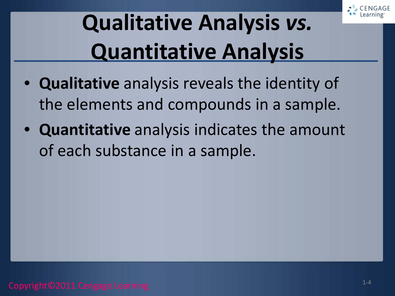

# **Qualitative Analysis** *vs.*  **Quantitative Analysis**

- **Qualitative** analysis reveals the identity of the elements and compounds in a sample.
- **Quantitative** analysis indicates the amount of each substance in a sample.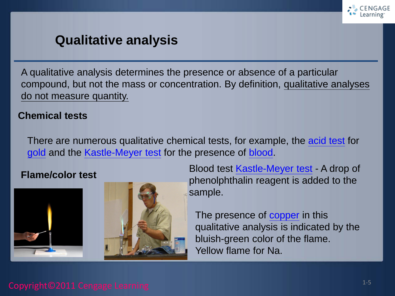

#### **Qualitative analysis**

A qualitative analysis determines the presence or absence of a particular compound, but not the mass or concentration. By definition, qualitative analyses do not measure quantity.

#### **Chemical tests**

There are numerous qualitative chemical tests, for example, the [acid test](https://en.wikipedia.org/wiki/Acid_test_(gold)) for [gold](https://en.wikipedia.org/wiki/Gold) and the [Kastle-Meyer test](https://en.wikipedia.org/wiki/Kastle-Meyer_test) for the presence of [blood.](https://en.wikipedia.org/wiki/Blood)





**Flame/color test Exame/color test Blood test** [Kastle-Meyer test](https://en.wikipedia.org/wiki/Kastle-Meyer_test) - A drop of phenolphthalin reagent is added to the sample.

> The presence of [copper](https://en.wikipedia.org/wiki/Copper) in this qualitative analysis is indicated by the bluish-green color of the flame. Yellow flame for Na.

#### Copyright©2011 Cengage Learning 1-5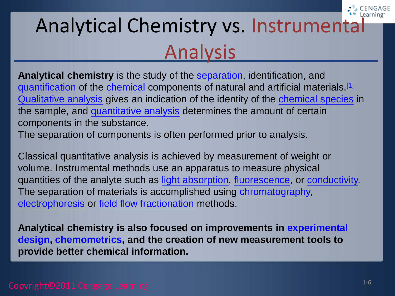### Analytical Chemistry vs. Instrumental Analysis

**Analytical chemistry** is the study of the [separation](http://en.wikipedia.org/wiki/Separation_process), identification, and [quantification](http://en.wikipedia.org/wiki/Quantification_(science)) of the [chemical](http://en.wikipedia.org/wiki/Chemical) components of natural and artificial materials.[\[1\]](http://en.wikipedia.org/wiki/Analytical_chemistry#cite_note-isbn0-03-005938-0-1) [Qualitative analysis](http://en.wikipedia.org/wiki/Qualitative_inorganic_analysis) gives an indication of the identity of the [chemical species](http://en.wikipedia.org/wiki/Chemical_species) in the sample, and [quantitative analysis](http://en.wikipedia.org/wiki/Quantitative_analysis_(chemistry)) determines the amount of certain components in the substance.

The separation of components is often performed prior to analysis.

Classical quantitative analysis is achieved by measurement of weight or volume. Instrumental methods use an apparatus to measure physical quantities of the analyte such as [light absorption](http://en.wikipedia.org/wiki/Absorption_(electromagnetic_radiation)), [fluorescence](http://en.wikipedia.org/wiki/Fluorescence), or [conductivity.](http://en.wikipedia.org/wiki/Electrical_conductivity) The separation of materials is accomplished using [chromatography,](http://en.wikipedia.org/wiki/Chromatography) [electrophoresis](http://en.wikipedia.org/wiki/Electrophoresis) or [field flow fractionation](http://en.wikipedia.org/wiki/Field_flow_fractionation) methods.

**[Analytical chemistry is also focused on improvements in experimental](http://en.wikipedia.org/wiki/Experimental_design)  design, [chemometrics,](http://en.wikipedia.org/wiki/Chemometrics) and the creation of new measurement tools to provide better chemical information.**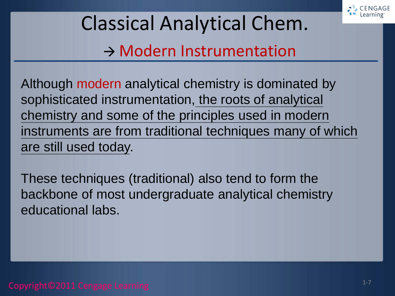

Classical Analytical Chem.  $\rightarrow$  Modern Instrumentation

Although modern analytical chemistry is dominated by sophisticated instrumentation, the roots of analytical chemistry and some of the principles used in modern instruments are from traditional techniques many of which are still used today.

These techniques (traditional) also tend to form the backbone of most undergraduate analytical chemistry educational labs.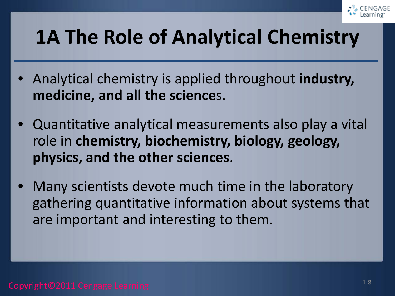

#### **1A The Role of Analytical Chemistry**

- Analytical chemistry is applied throughout **industry, medicine, and all the science**s.
- Quantitative analytical measurements also play a vital role in **chemistry, biochemistry, biology, geology, physics, and the other sciences**.
- Many scientists devote much time in the laboratory gathering quantitative information about systems that are important and interesting to them.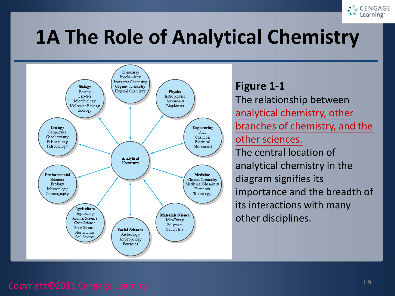

#### **1A The Role of Analytical Chemistry**



#### **Figure 1-1**

The relationship between analytical chemistry, other branches of chemistry, and the other sciences. The central location of analytical chemistry in the diagram signifies its importance and the breadth of its interactions with many other disciplines.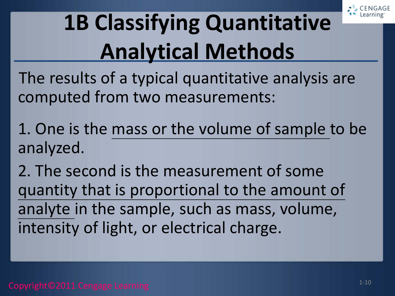

# **1B Classifying Quantitative Analytical Methods**

The results of a typical quantitative analysis are computed from two measurements:

1. One is the mass or the volume of sample to be analyzed.

2. The second is the measurement of some quantity that is proportional to the amount of analyte in the sample, such as mass, volume, intensity of light, or electrical charge.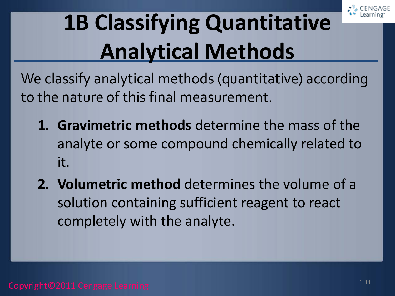

# **1B Classifying Quantitative Analytical Methods**

We classify analytical methods (quantitative) according to the nature of this final measurement.

- **1. Gravimetric methods** determine the mass of the analyte or some compound chemically related to it.
- **2. Volumetric method** determines the volume of a solution containing sufficient reagent to react completely with the analyte.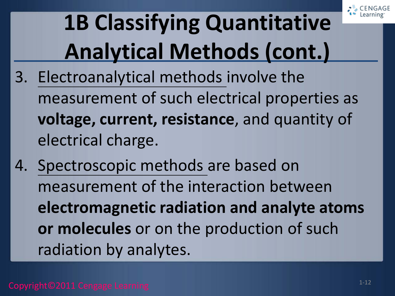

# **1B Classifying Quantitative Analytical Methods (cont.)**

- 3. Electroanalytical methods involve the measurement of such electrical properties as **voltage, current, resistance**, and quantity of electrical charge.
- 4. Spectroscopic methods are based on measurement of the interaction between **electromagnetic radiation and analyte atoms or molecules** or on the production of such radiation by analytes.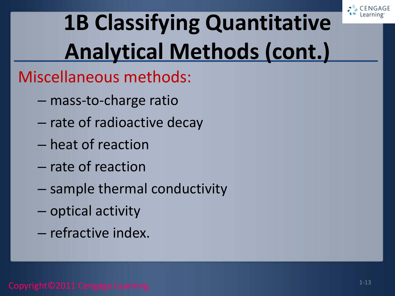

# **1B Classifying Quantitative Analytical Methods (cont.)**

#### Miscellaneous methods:

- mass-to-charge ratio
- rate of radioactive decay
- heat of reaction
- rate of reaction
- sample thermal conductivity
- optical activity
- refractive index.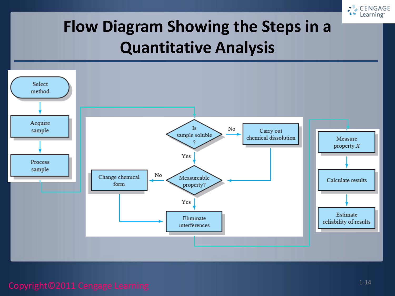

#### **Flow Diagram Showing the Steps in a Quantitative Analysis**

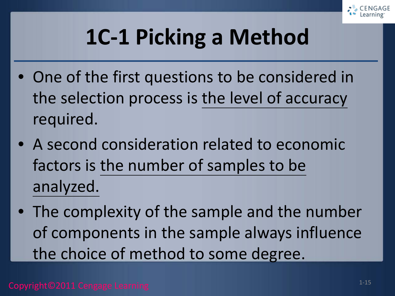

# **1C-1 Picking a Method**

- One of the first questions to be considered in the selection process is the level of accuracy required.
- A second consideration related to economic factors is the number of samples to be analyzed.
- The complexity of the sample and the number of components in the sample always influence the choice of method to some degree.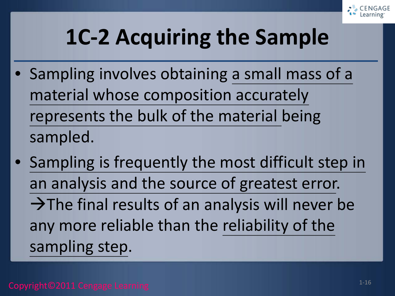

# **1C-2 Acquiring the Sample**

- Sampling involves obtaining a small mass of a material whose composition accurately represents the bulk of the material being sampled.
- Sampling is frequently the most difficult step in an analysis and the source of greatest error.  $\rightarrow$  The final results of an analysis will never be any more reliable than the reliability of the sampling step.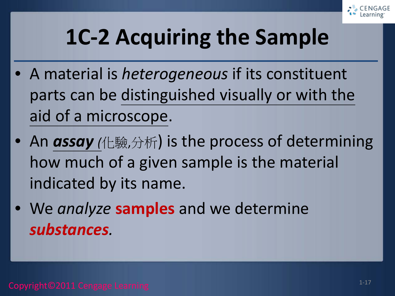

# **1C-2 Acquiring the Sample**

- A material is *heterogeneous* if its constituent parts can be distinguished visually or with the aid of a microscope.
- An *assay (*化驗,分析) is the process of determining how much of a given sample is the material indicated by its name.
- We *analyze* **samples** and we determine *substances.*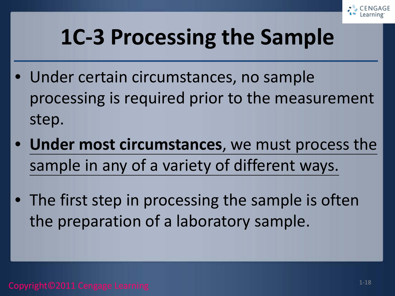

- Under certain circumstances, no sample processing is required prior to the measurement step.
- **Under most circumstances**, we must process the sample in any of a variety of different ways.
- The first step in processing the sample is often the preparation of a laboratory sample.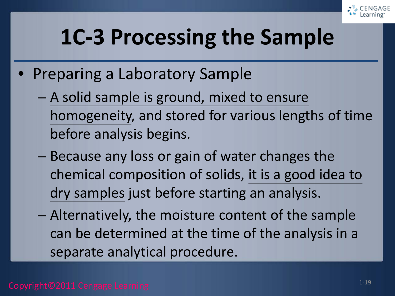

- Preparing a Laboratory Sample
	- A solid sample is ground, mixed to ensure homogeneity, and stored for various lengths of time before analysis begins.
	- Because any loss or gain of water changes the chemical composition of solids, it is a good idea to dry samples just before starting an analysis.
	- Alternatively, the moisture content of the sample can be determined at the time of the analysis in a separate analytical procedure.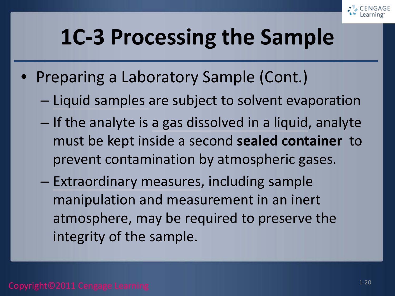

- Preparing a Laboratory Sample (Cont.)
	- Liquid samples are subject to solvent evaporation
	- If the analyte is a gas dissolved in a liquid, analyte must be kept inside a second **sealed container** to prevent contamination by atmospheric gases.
	- Extraordinary measures, including sample manipulation and measurement in an inert atmosphere, may be required to preserve the integrity of the sample.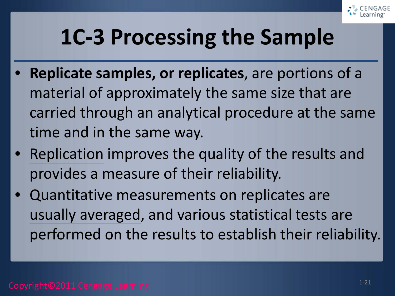

- **Replicate samples, or replicates**, are portions of a material of approximately the same size that are carried through an analytical procedure at the same time and in the same way.
- Replication improves the quality of the results and provides a measure of their reliability.
- Quantitative measurements on replicates are usually averaged, and various statistical tests are performed on the results to establish their reliability.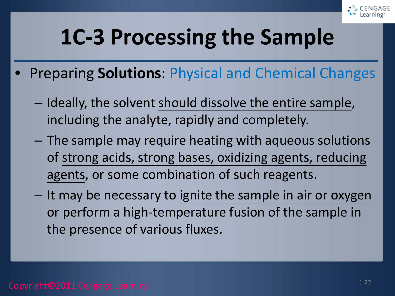

- Preparing **Solutions**: Physical and Chemical Changes
	- Ideally, the solvent should dissolve the entire sample, including the analyte, rapidly and completely.
	- The sample may require heating with aqueous solutions of strong acids, strong bases, oxidizing agents, reducing agents, or some combination of such reagents.
	- It may be necessary to ignite the sample in air or oxygen or perform a high-temperature fusion of the sample in the presence of various fluxes.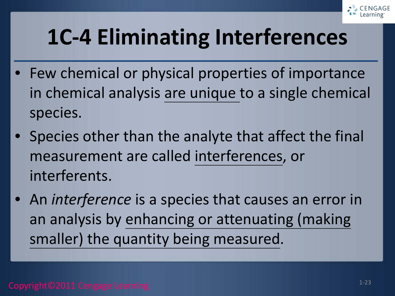

# **1C-4 Eliminating Interferences**

- Few chemical or physical properties of importance in chemical analysis are unique to a single chemical species.
- Species other than the analyte that affect the final measurement are called interferences, or interferents.
- An *interference* is a species that causes an error in an analysis by enhancing or attenuating (making smaller) the quantity being measured.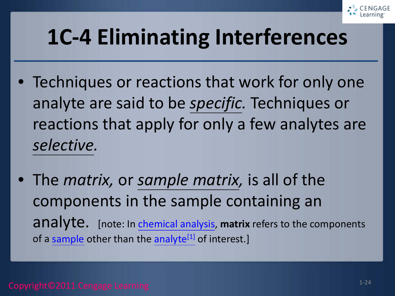

## **1C-4 Eliminating Interferences**

- Techniques or reactions that work for only one analyte are said to be *specific.* Techniques or reactions that apply for only a few analytes are *selective.*
- The *matrix,* or *sample matrix,* is all of the components in the sample containing an analyte. [note: In [chemical analysis,](https://en.wikipedia.org/wiki/Chemical_analysis) **matrix** refers to the components of a [sample](https://en.wikipedia.org/wiki/Sample_(material)) other than the analyte<sup>[1]</sup> of interest.]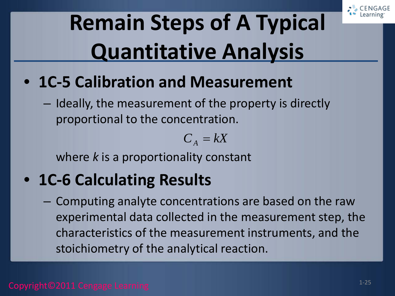

# **Remain Steps of A Typical Quantitative Analysis**

- **1C-5 Calibration and Measurement**
	- Ideally, the measurement of the property is directly proportional to the concentration.

$$
C_A = kX
$$

where *k* is a proportionality constant

#### • **1C-6 Calculating Results**

– Computing analyte concentrations are based on the raw experimental data collected in the measurement step, the characteristics of the measurement instruments, and the stoichiometry of the analytical reaction.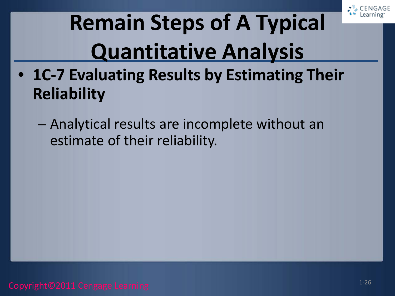

# **Remain Steps of A Typical Quantitative Analysis**

- **1C-7 Evaluating Results by Estimating Their Reliability**
	- Analytical results are incomplete without an estimate of their reliability.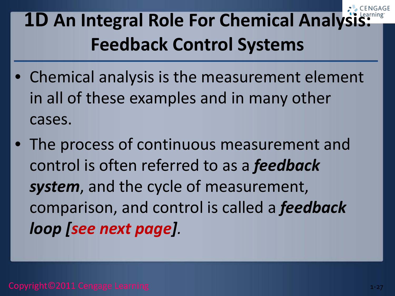**1D An Integral Role For Chemical Analysi Feedback Control Systems**

- Chemical analysis is the measurement element in all of these examples and in many other cases.
- The process of continuous measurement and control is often referred to as a *feedback system*, and the cycle of measurement, comparison, and control is called a *feedback loop [see next page].*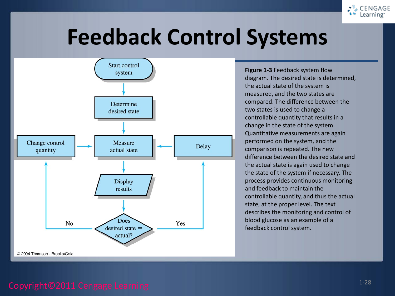

#### **Feedback Control Systems**



**Figure 1-3** Feedback system flow diagram. The desired state is determined, the actual state of the system is measured, and the two states are compared. The difference between the two states is used to change a controllable quantity that results in a change in the state of the system. Quantitative measurements are again performed on the system, and the comparison is repeated. The new difference between the desired state and the actual state is again used to change the state of the system if necessary. The process provides continuous monitoring and feedback to maintain the controllable quantity, and thus the actual state, at the proper level. The text describes the monitoring and control of blood glucose as an example of a feedback control system.